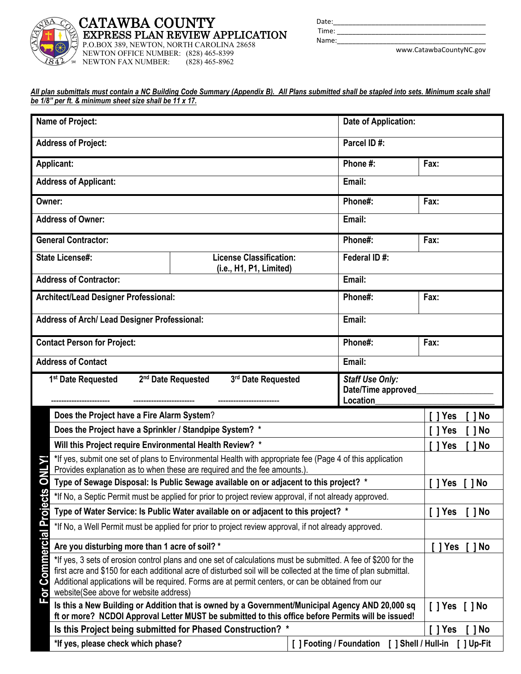

www.CatawbaCountyNC.gov

| All plan submittals must contain a NC Building Code Summary (Appendix B). All Plans submitted shall be stapled into sets. Minimum scale shall |  |  |
|-----------------------------------------------------------------------------------------------------------------------------------------------|--|--|
| be 1/8" per ft. & minimum sheet size shall be 11 x 17.                                                                                        |  |  |

| Name of Project:           | Date of Application:                                                                                                                               |                                                                                                                                                                                                                        |                                                                                                                                                                                                      |                                    |  |
|----------------------------|----------------------------------------------------------------------------------------------------------------------------------------------------|------------------------------------------------------------------------------------------------------------------------------------------------------------------------------------------------------------------------|------------------------------------------------------------------------------------------------------------------------------------------------------------------------------------------------------|------------------------------------|--|
|                            | Parcel ID#:<br><b>Address of Project:</b>                                                                                                          |                                                                                                                                                                                                                        |                                                                                                                                                                                                      |                                    |  |
|                            | Phone #:<br><b>Applicant:</b><br>Fax:                                                                                                              |                                                                                                                                                                                                                        |                                                                                                                                                                                                      |                                    |  |
|                            | <b>Address of Applicant:</b>                                                                                                                       |                                                                                                                                                                                                                        | Email:                                                                                                                                                                                               |                                    |  |
| Owner:                     |                                                                                                                                                    |                                                                                                                                                                                                                        | Phone#:                                                                                                                                                                                              | Fax:                               |  |
|                            | <b>Address of Owner:</b>                                                                                                                           |                                                                                                                                                                                                                        | Email:                                                                                                                                                                                               |                                    |  |
|                            | <b>General Contractor:</b>                                                                                                                         |                                                                                                                                                                                                                        | Phone#:                                                                                                                                                                                              | Fax:                               |  |
|                            | <b>State License#:</b>                                                                                                                             | <b>License Classification:</b><br>(i.e., H1, P1, Limited)                                                                                                                                                              | Federal ID#:                                                                                                                                                                                         |                                    |  |
|                            | <b>Address of Contractor:</b>                                                                                                                      |                                                                                                                                                                                                                        | Email:                                                                                                                                                                                               |                                    |  |
|                            | Architect/Lead Designer Professional:                                                                                                              |                                                                                                                                                                                                                        | Phone#:                                                                                                                                                                                              | Fax:                               |  |
|                            | Address of Arch/ Lead Designer Professional:<br>Email:                                                                                             |                                                                                                                                                                                                                        |                                                                                                                                                                                                      |                                    |  |
|                            | Phone#:<br><b>Contact Person for Project:</b><br>Fax:                                                                                              |                                                                                                                                                                                                                        |                                                                                                                                                                                                      |                                    |  |
|                            | Email:<br><b>Address of Contact</b>                                                                                                                |                                                                                                                                                                                                                        |                                                                                                                                                                                                      |                                    |  |
|                            | 2 <sup>nd</sup> Date Requested<br>3rd Date Requested<br><b>Staff Use Only:</b><br>1 <sup>st</sup> Date Requested<br>Date/Time approved<br>Location |                                                                                                                                                                                                                        |                                                                                                                                                                                                      |                                    |  |
|                            | Does the Project have a Fire Alarm System?                                                                                                         |                                                                                                                                                                                                                        |                                                                                                                                                                                                      | <b>No</b><br>Yes                   |  |
|                            | Does the Project have a Sprinkler / Standpipe System? *                                                                                            |                                                                                                                                                                                                                        |                                                                                                                                                                                                      | 1 Yes                              |  |
|                            | Will this Project require Environmental Health Review? *                                                                                           |                                                                                                                                                                                                                        |                                                                                                                                                                                                      | <b>No</b><br>Yes                   |  |
|                            |                                                                                                                                                    | *If yes, submit one set of plans to Environmental Health with appropriate fee (Page 4 of this application<br>Provides explanation as to when these are required and the fee amounts.).                                 |                                                                                                                                                                                                      |                                    |  |
| O                          | Type of Sewage Disposal: Is Public Sewage available on or adjacent to this project? *                                                              |                                                                                                                                                                                                                        |                                                                                                                                                                                                      |                                    |  |
|                            | *If No, a Septic Permit must be applied for prior to project review approval, if not already approved.                                             |                                                                                                                                                                                                                        |                                                                                                                                                                                                      |                                    |  |
|                            |                                                                                                                                                    |                                                                                                                                                                                                                        |                                                                                                                                                                                                      | No<br>[ ] Yes<br>Γl                |  |
|                            |                                                                                                                                                    | Type of Water Service: Is Public Water available on or adjacent to this project? *                                                                                                                                     |                                                                                                                                                                                                      | $\lceil \, \rceil$ No<br>$[$ ] Yes |  |
|                            |                                                                                                                                                    | *If No, a Well Permit must be applied for prior to project review approval, if not already approved.                                                                                                                   |                                                                                                                                                                                                      |                                    |  |
|                            | Are you disturbing more than 1 acre of soil? *                                                                                                     |                                                                                                                                                                                                                        |                                                                                                                                                                                                      | 1 Yes<br>  No                      |  |
| <b>Commercial Projects</b> | website(See above for website address)                                                                                                             | first acre and \$150 for each additional acre of disturbed soil will be collected at the time of plan submittal.<br>Additional applications will be required. Forms are at permit centers, or can be obtained from our | *If yes, 3 sets of erosion control plans and one set of calculations must be submitted. A fee of \$200 for the                                                                                       |                                    |  |
| <u>ior</u>                 |                                                                                                                                                    |                                                                                                                                                                                                                        | Is this a New Building or Addition that is owned by a Government/Municipal Agency AND 20,000 sq<br>ft or more? NCDOI Approval Letter MUST be submitted to this office before Permits will be issued! | $[$ $]$ Yes $[$ $]$ No             |  |
|                            |                                                                                                                                                    | Is this Project being submitted for Phased Construction? *                                                                                                                                                             |                                                                                                                                                                                                      | $\lceil \,\rceil$ No<br>[]Yes      |  |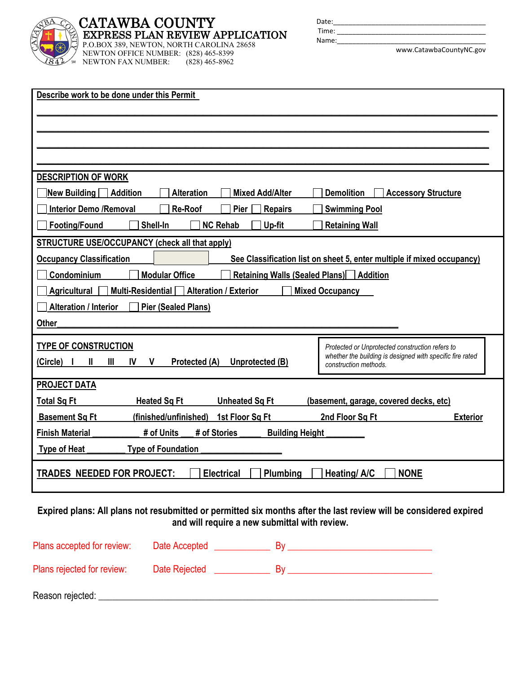

### **CATAWBA COUNTY EXPRESS PLAN REVIEW APPLICATION**

P.O.BOX 389, NEWTON, NORTH CAROLINA 28658 NEWTON OFFICE NUMBER: (828) 465-8399<br>NEWTON FAX NUMBER: (828) 465-8962 NEWTON FAX NUMBER:

| Date: |                         |
|-------|-------------------------|
| Time: |                         |
| Name: |                         |
|       | www.CatawbaCountyNC.gov |

| Describe work to be done under this Permit                                                                                                                                                           |  |  |  |  |  |
|------------------------------------------------------------------------------------------------------------------------------------------------------------------------------------------------------|--|--|--|--|--|
|                                                                                                                                                                                                      |  |  |  |  |  |
|                                                                                                                                                                                                      |  |  |  |  |  |
|                                                                                                                                                                                                      |  |  |  |  |  |
|                                                                                                                                                                                                      |  |  |  |  |  |
| <b>DESCRIPTION OF WORK</b>                                                                                                                                                                           |  |  |  |  |  |
| New Building Addition<br><b>Demolition</b><br><b>Alteration</b><br><b>Mixed Add/Alter</b><br><b>Accessory Structure</b>                                                                              |  |  |  |  |  |
| <b>Interior Demo /Removal</b><br><b>Re-Roof</b><br><b>Repairs</b><br><b>Swimming Pool</b><br><b>Pier</b>                                                                                             |  |  |  |  |  |
| Shell-In<br><b>NC Rehab</b><br><b>Footing/Found</b><br>Up-fit<br><b>Retaining Wall</b>                                                                                                               |  |  |  |  |  |
| <b>STRUCTURE USE/OCCUPANCY (check all that apply)</b>                                                                                                                                                |  |  |  |  |  |
| <b>Occupancy Classification</b><br>See Classification list on sheet 5, enter multiple if mixed occupancy)                                                                                            |  |  |  |  |  |
| Condominium<br><b>Modular Office</b><br><b>Retaining Walls (Sealed Plans)</b> Addition                                                                                                               |  |  |  |  |  |
| <b>Alteration / Exterior</b><br><b>Agricultural</b><br>Multi-Residential<br><b>Mixed Occupancy</b>                                                                                                   |  |  |  |  |  |
| <b>Alteration / Interior</b><br><b>Pier (Sealed Plans)</b>                                                                                                                                           |  |  |  |  |  |
| <b>Other</b>                                                                                                                                                                                         |  |  |  |  |  |
| <b>TYPE OF CONSTRUCTION</b>                                                                                                                                                                          |  |  |  |  |  |
| Protected or Unprotected construction refers to<br>whether the building is designed with specific fire rated<br>Ш<br>$\mathbf{III}$<br>V.<br>Protected (A)<br>Unprotected (B)<br>$(Circle)$ I<br>IV. |  |  |  |  |  |
| construction methods.                                                                                                                                                                                |  |  |  |  |  |
| <b>PROJECT DATA</b>                                                                                                                                                                                  |  |  |  |  |  |
| <b>Heated Sq Ft</b><br><b>Unheated Sq Ft</b><br><b>Total Sq Ft</b><br>(basement, garage, covered decks, etc)                                                                                         |  |  |  |  |  |
| (finished/unfinished)<br>1st Floor Sq Ft<br>2nd Floor Sq Ft<br><b>Basement Sq Ft</b><br><b>Exterior</b>                                                                                              |  |  |  |  |  |
| # of Stories<br><b>Finish Material</b><br># of Units<br><b>Building Height</b>                                                                                                                       |  |  |  |  |  |
| Type of Heat<br><b>Type of Foundation</b>                                                                                                                                                            |  |  |  |  |  |
| <b>NONE</b><br><b>TRADES NEEDED FOR PROJECT:</b><br><b>Electrical</b><br>Plumbing<br>Heating/A/C                                                                                                     |  |  |  |  |  |

**Expired plans: All plans not resubmitted or permitted six months after the last review will be considered expired and will require a new submittal with review.** 

| Plans accepted for review: | Date Accepted | H٧ |
|----------------------------|---------------|----|
| Plans rejected for review: | Date Rejected | B٧ |
| Reason rejected:           |               |    |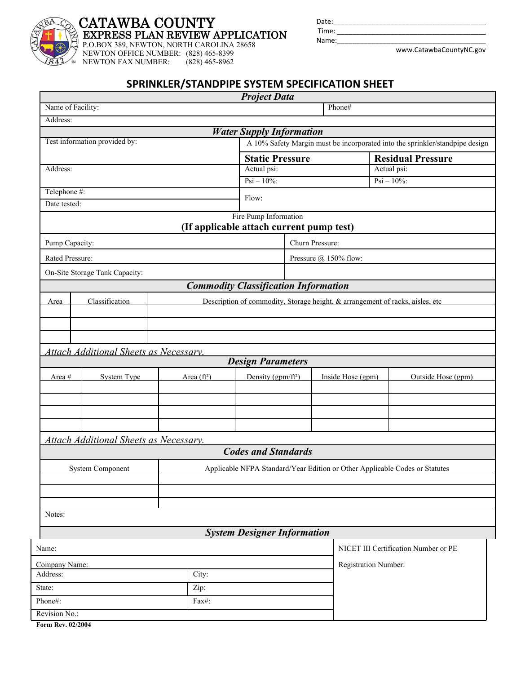

## **CATAWBA COUNTY EXPRESS PLAN REVIEW APPLICATION**

P.O.BOX 389, NEWTON, NORTH CAROLINA 28658

NEWTON OFFICE NUMBER: (828) 465-8399<br>NEWTON FAX NUMBER: (828) 465-8962

NEWTON FAX NUMBER:

Time: Name:

Date:

www.CatawbaCountyNC.gov

### **SPRINKLER/STANDPIPE SYSTEM SPECIFICATION SHEET**

|                   |                                               |                                          | <b>Project Data</b>                         |                 |  |                       |                                                                                |
|-------------------|-----------------------------------------------|------------------------------------------|---------------------------------------------|-----------------|--|-----------------------|--------------------------------------------------------------------------------|
| Name of Facility: |                                               |                                          |                                             |                 |  | Phone#                |                                                                                |
| Address:          |                                               |                                          |                                             |                 |  |                       |                                                                                |
|                   |                                               |                                          | <b>Water Supply Information</b>             |                 |  |                       |                                                                                |
|                   | Test information provided by:                 |                                          |                                             |                 |  |                       | A 10% Safety Margin must be incorporated into the sprinkler/standpipe design   |
|                   |                                               |                                          | <b>Static Pressure</b>                      |                 |  |                       | <b>Residual Pressure</b>                                                       |
| Address:          |                                               |                                          | Actual psi:<br>Actual psi:                  |                 |  |                       |                                                                                |
|                   |                                               |                                          | $Psi - 10\%$ :                              |                 |  |                       | $Psi - 10\%$ :                                                                 |
| Telephone #:      |                                               |                                          | Flow:                                       |                 |  |                       |                                                                                |
| Date tested:      |                                               |                                          |                                             |                 |  |                       |                                                                                |
|                   |                                               | (If applicable attach current pump test) | Fire Pump Information                       |                 |  |                       |                                                                                |
| Pump Capacity:    |                                               |                                          |                                             | Churn Pressure: |  |                       |                                                                                |
| Rated Pressure:   |                                               |                                          |                                             |                 |  | Pressure @ 150% flow: |                                                                                |
|                   | On-Site Storage Tank Capacity:                |                                          |                                             |                 |  |                       |                                                                                |
|                   |                                               |                                          | <b>Commodity Classification Information</b> |                 |  |                       |                                                                                |
|                   | Classification                                |                                          |                                             |                 |  |                       | Description of commodity, Storage height, & arrangement of racks, aisles, etc. |
| Area              |                                               |                                          |                                             |                 |  |                       |                                                                                |
|                   |                                               |                                          |                                             |                 |  |                       |                                                                                |
|                   |                                               |                                          |                                             |                 |  |                       |                                                                                |
|                   | <b>Attach Additional Sheets as Necessary.</b> |                                          |                                             |                 |  |                       |                                                                                |
|                   |                                               |                                          | <b>Design Parameters</b>                    |                 |  |                       |                                                                                |
| Area #            | <b>System Type</b>                            | Area $(ft^2)$                            | Density (gpm/ft <sup>2</sup> )              |                 |  | Inside Hose (gpm)     | Outside Hose (gpm)                                                             |
|                   |                                               |                                          |                                             |                 |  |                       |                                                                                |
|                   |                                               |                                          |                                             |                 |  |                       |                                                                                |
|                   |                                               |                                          |                                             |                 |  |                       |                                                                                |
|                   |                                               |                                          |                                             |                 |  |                       |                                                                                |
|                   | Attach Additional Sheets as Necessary.        |                                          |                                             |                 |  |                       |                                                                                |
|                   |                                               |                                          | <b>Codes and Standards</b>                  |                 |  |                       |                                                                                |
|                   | <b>System Component</b>                       |                                          |                                             |                 |  |                       | Applicable NFPA Standard/Year Edition or Other Applicable Codes or Statutes    |
|                   |                                               |                                          |                                             |                 |  |                       |                                                                                |
|                   |                                               |                                          |                                             |                 |  |                       |                                                                                |
|                   |                                               |                                          |                                             |                 |  |                       |                                                                                |
| Notes:            |                                               |                                          |                                             |                 |  |                       |                                                                                |
|                   |                                               |                                          | <b>System Designer Information</b>          |                 |  |                       |                                                                                |
| Name:             |                                               |                                          |                                             |                 |  |                       | NICET III Certification Number or PE                                           |
| Company Name:     |                                               |                                          |                                             |                 |  | Registration Number:  |                                                                                |
| Address:          |                                               | City:                                    |                                             |                 |  |                       |                                                                                |
| State:            |                                               | Zip:                                     |                                             |                 |  |                       |                                                                                |
| Phone#:           |                                               | Fax#:                                    |                                             |                 |  |                       |                                                                                |
| Revision No.:     |                                               |                                          |                                             |                 |  |                       |                                                                                |
|                   |                                               |                                          |                                             |                 |  |                       |                                                                                |

**Form Rev. 02/2004**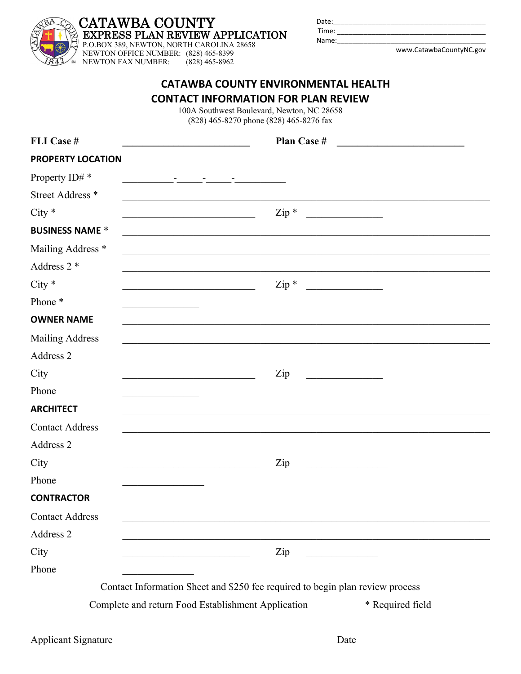### **CATAWBA COUNTY EXPRESS PLAN REVIEW APPLICATION**

P.O.BOX 389, NEWTON, NORTH CAROLINA 28658 NEWTON OFFICE NUMBER: (828) 465-8399<br>NEWTON FAX NUMBER: (828) 465-8962 NEWTON FAX NUMBER:

| Date: |  |  |                          |  |
|-------|--|--|--------------------------|--|
| Time: |  |  |                          |  |
| Name: |  |  |                          |  |
|       |  |  | the contract of the con- |  |

www.CatawbaCountyNC.gov

|                             | <b>CATAWBA COUNTY ENVIRONMENTAL HEALTH</b><br><b>CONTACT INFORMATION FOR PLAN REVIEW</b><br>100A Southwest Boulevard, Newton, NC 28658<br>(828) 465-8270 phone (828) 465-8276 fax |  |
|-----------------------------|-----------------------------------------------------------------------------------------------------------------------------------------------------------------------------------|--|
| FLI Case #                  | Plan Case #                                                                                                                                                                       |  |
| <b>PROPERTY LOCATION</b>    |                                                                                                                                                                                   |  |
| Property ID# *              | <u> 1999 - Antonio Alemania, primerana ambao amin'ny fivondronan-kaominin'i Amerika ao amin'ny fivondronan-kaominin</u>                                                           |  |
| Street Address <sup>*</sup> |                                                                                                                                                                                   |  |
| $City *$                    | $\mathop{\mathrm{Zip}}\nolimits$ *<br><u> 1989 - Johann Barn, mars francuski film</u><br><u> 1990 - Johann Barbara, martin amerikan basar da</u>                                  |  |
| <b>BUSINESS NAME *</b>      |                                                                                                                                                                                   |  |
| Mailing Address *           |                                                                                                                                                                                   |  |
| Address $2$ *               |                                                                                                                                                                                   |  |
| $City *$                    | $Zip *$<br><u> 1990 - Johann Barbara, martin a</u>                                                                                                                                |  |
| Phone*                      |                                                                                                                                                                                   |  |
| <b>OWNER NAME</b>           |                                                                                                                                                                                   |  |
| <b>Mailing Address</b>      |                                                                                                                                                                                   |  |
| Address 2                   |                                                                                                                                                                                   |  |
| City                        | Zip                                                                                                                                                                               |  |
| Phone                       |                                                                                                                                                                                   |  |
| <b>ARCHITECT</b>            |                                                                                                                                                                                   |  |
| <b>Contact Address</b>      |                                                                                                                                                                                   |  |
| Address 2                   |                                                                                                                                                                                   |  |
| City                        | Zip                                                                                                                                                                               |  |
| Phone                       |                                                                                                                                                                                   |  |
| <b>CONTRACTOR</b>           |                                                                                                                                                                                   |  |
| <b>Contact Address</b>      |                                                                                                                                                                                   |  |
| Address 2                   |                                                                                                                                                                                   |  |

Phone

Contact Information Sheet and \$250 fee required to begin plan review process

Complete and return Food Establishment Application \*\*\* Required field

 $City$   $\qquad \qquad$   $\qquad \qquad$   $\qquad$   $\qquad$   $\qquad$   $\qquad$   $\qquad$   $\qquad$   $\qquad$   $\qquad$   $\qquad$   $\qquad$   $\qquad$   $\qquad$   $\qquad$   $\qquad$   $\qquad$   $\qquad$   $\qquad$   $\qquad$   $\qquad$   $\qquad$   $\qquad$   $\qquad$   $\qquad$   $\qquad$   $\qquad$   $\qquad$   $\qquad$   $\qquad$   $\qquad$   $\qquad$   $\qquad$   $\qquad$   $\qquad$ 

Applicant Signature **Latter and Supplicant Signature** Date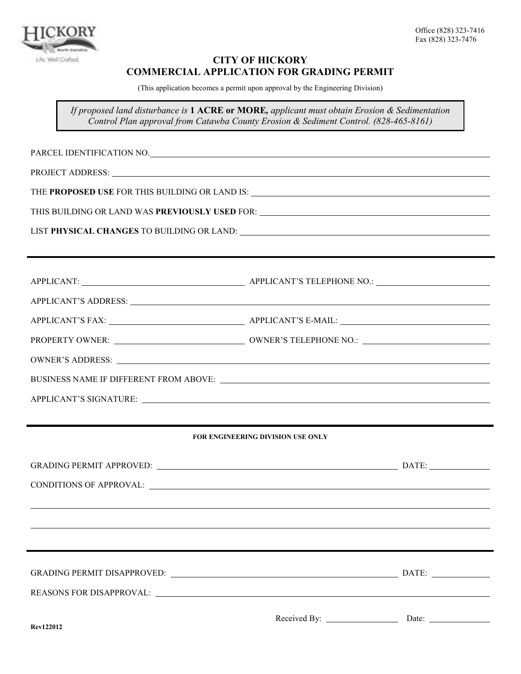

### **CITY OF HICKORY COMMERCIAL APPLICATION FOR GRADING PERMIT**

(This application becomes a permit upon approval by the Engineering Division)

*If proposed land disturbance is* **1 ACRE or MORE***, applicant must obtain Erosion & Sedimentation Control Plan approval from Catawba County Erosion & Sediment Control. (828-465-8161)* 

PARCEL IDENTIFICATION NO. PROJECT ADDRESS: THE **PROPOSED USE** FOR THIS BUILDING OR LAND IS: THIS BUILDING OR LAND WAS **PREVIOUSLY USED** FOR: LIST **PHYSICAL CHANGES** TO BUILDING OR LAND: APPLICANT: APPLICANT'S TELEPHONE NO.: APPLICANT'S ADDRESS: APPLICANT'S FAX: APPLICANT'S E-MAIL: PROPERTY OWNER: OWNER'S TELEPHONE NO.: OWNER'S ADDRESS: BUSINESS NAME IF DIFFERENT FROM ABOVE: APPLICANT'S SIGNATURE: **FOR ENGINEERING DIVISION USE ONLY** GRADING PERMIT APPROVED: The contract of the contract of the contract of the contract of the contract of the contract of the contract of the contract of the contract of the contract of the contract of the contract of the c CONDITIONS OF APPROVAL:

GRADING PERMIT DISAPPROVED: DATE: REASONS FOR DISAPPROVAL: Received By: Date: **Rev122012**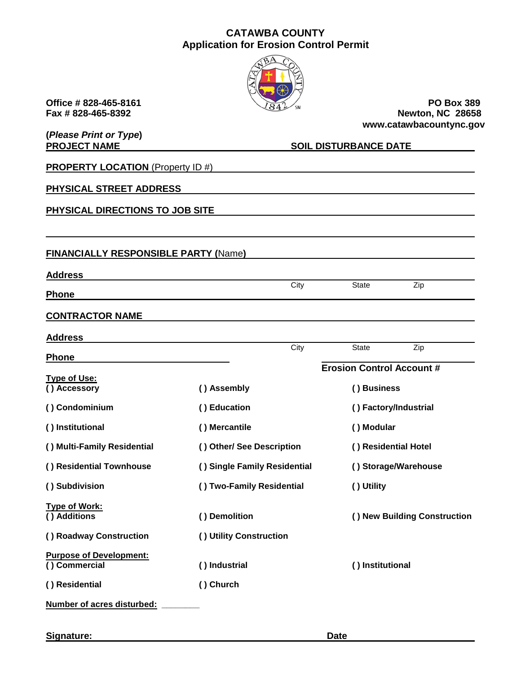### **CATAWBA COUNTY Application for Erosion Control Permit**



**(***Please Print or Type***)** 

**Office # 828-465-8161** PO Box 389<br>Fax # 828-465-8392 **PO Box 389 Newton, NC 28658 www.catawbacountync.gov**

| <b>PROJECT NAME</b>                             |                              | <b>SOIL DISTURBANCE DATE</b>     |  |  |
|-------------------------------------------------|------------------------------|----------------------------------|--|--|
| <b>PROPERTY LOCATION (Property ID #)</b>        |                              |                                  |  |  |
| PHYSICAL STREET ADDRESS                         |                              |                                  |  |  |
| PHYSICAL DIRECTIONS TO JOB SITE                 |                              |                                  |  |  |
|                                                 |                              |                                  |  |  |
| <b>FINANCIALLY RESPONSIBLE PARTY (Name)</b>     |                              |                                  |  |  |
| <b>Address</b>                                  |                              |                                  |  |  |
| <b>Phone</b>                                    | City                         | <b>State</b><br>Zip              |  |  |
| <b>CONTRACTOR NAME</b>                          |                              |                                  |  |  |
| <b>Address</b>                                  |                              |                                  |  |  |
| <b>Phone</b>                                    | City                         | Zip<br>State                     |  |  |
| <b>Type of Use:</b>                             |                              | <b>Erosion Control Account #</b> |  |  |
| () Accessory                                    | () Assembly                  | () Business                      |  |  |
| () Condominium                                  | () Education                 | () Factory/Industrial            |  |  |
| () Institutional                                | () Mercantile                | () Modular                       |  |  |
| () Multi-Family Residential                     | () Other/ See Description    | () Residential Hotel             |  |  |
| () Residential Townhouse                        | () Single Family Residential | () Storage/Warehouse             |  |  |
| () Subdivision                                  | () Two-Family Residential    | () Utility                       |  |  |
| <b>Type of Work:</b><br>() Additions            | () Demolition                | () New Building Construction     |  |  |
| () Roadway Construction                         | () Utility Construction      |                                  |  |  |
| <b>Purpose of Development:</b><br>() Commercial | () Industrial                | () Institutional                 |  |  |
| () Residential                                  | () Church                    |                                  |  |  |
| Number of acres disturbed:                      |                              |                                  |  |  |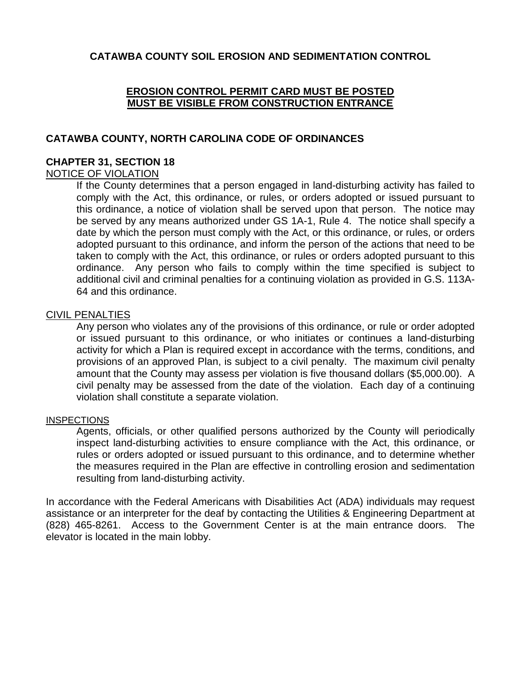### **CATAWBA COUNTY SOIL EROSION AND SEDIMENTATION CONTROL**

### **EROSION CONTROL PERMIT CARD MUST BE POSTED MUST BE VISIBLE FROM CONSTRUCTION ENTRANCE**

### **CATAWBA COUNTY, NORTH CAROLINA CODE OF ORDINANCES**

### **CHAPTER 31, SECTION 18**

### NOTICE OF VIOLATION

If the County determines that a person engaged in land-disturbing activity has failed to comply with the Act, this ordinance, or rules, or orders adopted or issued pursuant to this ordinance, a notice of violation shall be served upon that person. The notice may be served by any means authorized under GS 1A-1, Rule 4. The notice shall specify a date by which the person must comply with the Act, or this ordinance, or rules, or orders adopted pursuant to this ordinance, and inform the person of the actions that need to be taken to comply with the Act, this ordinance, or rules or orders adopted pursuant to this ordinance. Any person who fails to comply within the time specified is subject to additional civil and criminal penalties for a continuing violation as provided in G.S. 113A-64 and this ordinance.

### CIVIL PENALTIES

Any person who violates any of the provisions of this ordinance, or rule or order adopted or issued pursuant to this ordinance, or who initiates or continues a land-disturbing activity for which a Plan is required except in accordance with the terms, conditions, and provisions of an approved Plan, is subject to a civil penalty. The maximum civil penalty amount that the County may assess per violation is five thousand dollars (\$5,000.00). A civil penalty may be assessed from the date of the violation. Each day of a continuing violation shall constitute a separate violation.

### INSPECTIONS

Agents, officials, or other qualified persons authorized by the County will periodically inspect land-disturbing activities to ensure compliance with the Act, this ordinance, or rules or orders adopted or issued pursuant to this ordinance, and to determine whether the measures required in the Plan are effective in controlling erosion and sedimentation resulting from land-disturbing activity.

In accordance with the Federal Americans with Disabilities Act (ADA) individuals may request assistance or an interpreter for the deaf by contacting the Utilities & Engineering Department at (828) 465-8261. Access to the Government Center is at the main entrance doors. The elevator is located in the main lobby.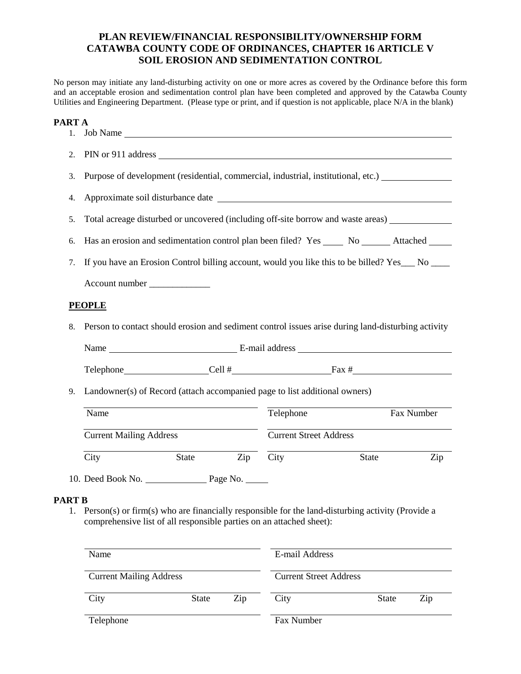### **PLAN REVIEW/FINANCIAL RESPONSIBILITY/OWNERSHIP FORM CATAWBA COUNTY CODE OF ORDINANCES, CHAPTER 16 ARTICLE V SOIL EROSION AND SEDIMENTATION CONTROL**

No person may initiate any land-disturbing activity on one or more acres as covered by the Ordinance before this form and an acceptable erosion and sedimentation control plan have been completed and approved by the Catawba County Utilities and Engineering Department. (Please type or print, and if question is not applicable, place N/A in the blank)

### **PART A**

| 1.            | Job Name                                                                                                                                                                    |                               |       |            |  |  |  |  |  |
|---------------|-----------------------------------------------------------------------------------------------------------------------------------------------------------------------------|-------------------------------|-------|------------|--|--|--|--|--|
| 2.            |                                                                                                                                                                             |                               |       |            |  |  |  |  |  |
| 3.            | Purpose of development (residential, commercial, industrial, institutional, etc.)                                                                                           |                               |       |            |  |  |  |  |  |
| 4.            |                                                                                                                                                                             |                               |       |            |  |  |  |  |  |
| 5.            | Total acreage disturbed or uncovered (including off-site borrow and waste areas) ___________________                                                                        |                               |       |            |  |  |  |  |  |
| 6.            | Has an erosion and sedimentation control plan been filed? Yes _______ No ________ Attached _______                                                                          |                               |       |            |  |  |  |  |  |
| 7.            | If you have an Erosion Control billing account, would you like this to be billed? Yes___ No ____                                                                            |                               |       |            |  |  |  |  |  |
|               | Account number ______________                                                                                                                                               |                               |       |            |  |  |  |  |  |
|               | <b>PEOPLE</b>                                                                                                                                                               |                               |       |            |  |  |  |  |  |
| 8.            | Person to contact should erosion and sediment control issues arise during land-disturbing activity                                                                          |                               |       |            |  |  |  |  |  |
|               |                                                                                                                                                                             |                               |       |            |  |  |  |  |  |
|               |                                                                                                                                                                             |                               |       |            |  |  |  |  |  |
| 9.            | Landowner(s) of Record (attach accompanied page to list additional owners)                                                                                                  |                               |       |            |  |  |  |  |  |
|               | Name                                                                                                                                                                        | Telephone                     |       | Fax Number |  |  |  |  |  |
|               | <b>Current Mailing Address</b>                                                                                                                                              | <b>Current Street Address</b> |       |            |  |  |  |  |  |
|               | $\mathop{\mathrm{Zip}}\nolimits$<br>City<br>State                                                                                                                           | City                          | State | Zip        |  |  |  |  |  |
|               | 10. Deed Book No. Page No.                                                                                                                                                  |                               |       |            |  |  |  |  |  |
| <b>PART B</b> | 1. Person(s) or firm(s) who are financially responsible for the land-disturbing activity (Provide a<br>comprehensive list of all responsible parties on an attached sheet): |                               |       |            |  |  |  |  |  |
|               | Name                                                                                                                                                                        | E-mail Address                |       |            |  |  |  |  |  |

| <b>Current Mailing Address</b> |       |     | <b>Current Street Address</b> |              |     |
|--------------------------------|-------|-----|-------------------------------|--------------|-----|
| City                           | State | Zip | City                          | <b>State</b> | Zip |
| Telephone                      |       |     | Fax Number                    |              |     |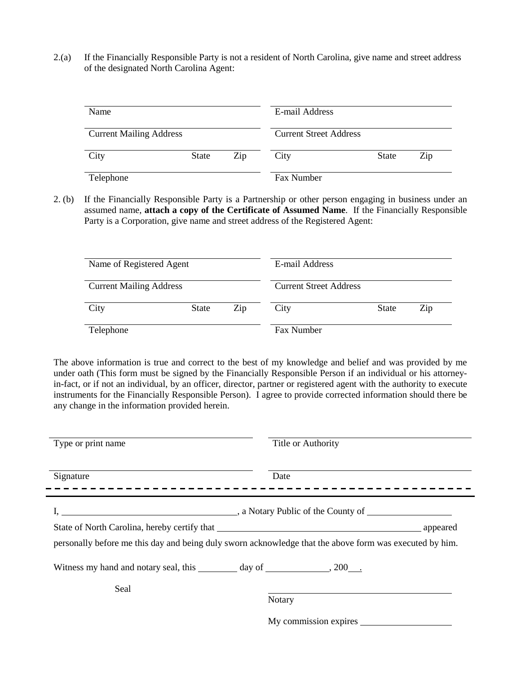2.(a) If the Financially Responsible Party is not a resident of North Carolina, give name and street address of the designated North Carolina Agent:

| Name                           |       | E-mail Address<br><b>Current Street Address</b> |            |       |     |
|--------------------------------|-------|-------------------------------------------------|------------|-------|-----|
| <b>Current Mailing Address</b> |       |                                                 |            |       |     |
| City                           | State | Zip                                             | City       | State | Zip |
| Telephone                      |       |                                                 | Fax Number |       |     |

2. (b) If the Financially Responsible Party is a Partnership or other person engaging in business under an assumed name, **attach a copy of the Certificate of Assumed Name**. If the Financially Responsible Party is a Corporation, give name and street address of the Registered Agent:

| Name of Registered Agent       |       | E-mail Address<br><b>Current Street Address</b> |            |              |     |
|--------------------------------|-------|-------------------------------------------------|------------|--------------|-----|
| <b>Current Mailing Address</b> |       |                                                 |            |              |     |
| City                           | State | Zip                                             | City       | <b>State</b> | Zip |
| Telephone                      |       |                                                 | Fax Number |              |     |

The above information is true and correct to the best of my knowledge and belief and was provided by me under oath (This form must be signed by the Financially Responsible Person if an individual or his attorneyin-fact, or if not an individual, by an officer, director, partner or registered agent with the authority to execute instruments for the Financially Responsible Person). I agree to provide corrected information should there be any change in the information provided herein.

| Type or print name                                                           | Title or Authority                                                                                      |
|------------------------------------------------------------------------------|---------------------------------------------------------------------------------------------------------|
| Signature                                                                    | Date                                                                                                    |
|                                                                              | $\blacksquare$ , a Notary Public of the County of                                                       |
|                                                                              | appeared                                                                                                |
|                                                                              | personally before me this day and being duly sworn acknowledge that the above form was executed by him. |
| Witness my hand and notary seal, this _________ day of ___________, 200____. |                                                                                                         |
| Seal                                                                         |                                                                                                         |
|                                                                              | Notary                                                                                                  |
|                                                                              | My commission expires                                                                                   |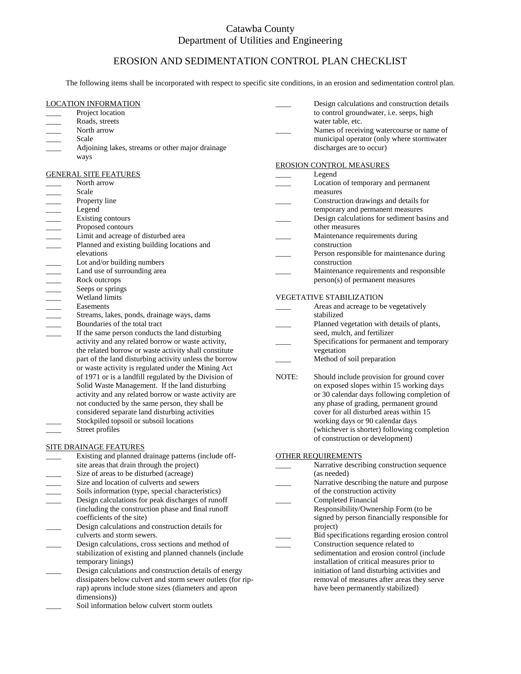### Catawba County Department of Utilities and Engineering

### EROSION AND SEDIMENTATION CONTROL PLAN CHECKLIST

The following items shall be incorporated with respect to specific site conditions, in an erosion and sedimentation control plan.

#### LOCATION INFORMATION

- Project location
- \_\_\_\_ Roads, streets
- North arrow
- Scale
- Adjoining lakes, streams or other major drainage ways

#### GENERAL SITE FEATURES

- North arrow
- November 1990<br>
Contact Contact Contact Contact Contact Contact Contact Contact Contact Contact Contact Contact Contact Contact Contact Contact Contact Contact Contact Contact Contact Contact Contact Contact Contact Contact
- Property line
- \_\_\_\_ Legend
- Existing contours
- Proposed contours
- Limit and acreage of disturbed area
- Planned and existing building locations and
- elevations
- Lot and/or building numbers
- Land use of surrounding area
- Rock outcrops
- Seeps or springs
- Wetland limits
- Easements
- Streams, lakes, ponds, drainage ways, dams
- \_\_\_\_ Boundaries of the total tract
- If the same person conducts the land disturbing activity and any related borrow or waste activity, the related borrow or waste activity shall constitute part of the land disturbing activity unless the borrow or waste activity is regulated under the Mining Act of 1971 or is a landfill regulated by the Division of Solid Waste Management. If the land disturbing activity and any related borrow or waste activity are not conducted by the same person, they shall be considered separate land disturbing activities Stockpiled topsoil or subsoil locations Street profiles

#### SITE DRAINAGE FEATURES

- Existing and planned drainage patterns (include offsite areas that drain through the project)
- Size of areas to be disturbed (acreage)
- Size and location of culverts and sewers
- Soils information (type, special characteristics)
- Design calculations for peak discharges of runoff (including the construction phase and final runoff coefficients of the site) Design calculations and construction details for
- culverts and storm sewers.
- Design calculations, cross sections and method of stabilization of existing and planned channels (include temporary linings)
- Design calculations and construction details of energy dissipaters below culvert and storm sewer outlets (for riprap) aprons include stone sizes (diameters and apron dimensions))
- Soil information below culvert storm outlets
- Design calculations and construction details to control groundwater, i.e. seeps, high water table, etc.
- Names of receiving watercourse or name of municipal operator (only where stormwater discharges are to occur)

#### EROSION CONTROL MEASURES

- \_\_\_\_ Legend Location of temporary and permanent measures \_\_\_\_ Construction drawings and details for temporary and permanent measures Design calculations for sediment basins and other measures Maintenance requirements during construction Person responsible for maintenance during construction
	- Maintenance requirements and responsible person(s) of permanent measures

#### VEGETATIVE STABILIZATION

- Areas and acreage to be vegetatively stabilized
- Planned vegetation with details of plants, seed, mulch, and fertilizer
- Specifications for permanent and temporary
- vegetation
- Method of soil preparation
- NOTE: Should include provision for ground cover on exposed slopes within 15 working days or 30 calendar days following completion of any phase of grading, permanent ground cover for all disturbed areas within 15 working days or 90 calendar days (whichever is shorter) following completion of construction or development)

#### OTHER REQUIREMENTS

- Narrative describing construction sequence (as needed)
- Narrative describing the nature and purpose of the construction activity
- \_\_\_\_ Completed Financial
- Responsibility/Ownership Form (to be signed by person financially responsible for project)
- \_\_\_\_ Bid specifications regarding erosion control
- Construction sequence related to sedimentation and erosion control (include installation of critical measures prior to initiation of land disturbing activities and removal of measures after areas they serve have been permanently stabilized)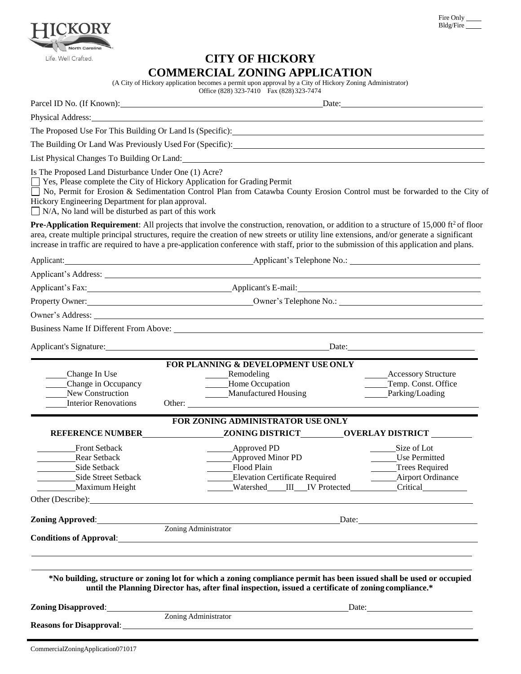| Fire Only |  |
|-----------|--|
| Bldg/Fire |  |



# **CITY OF HICKORY COMMERCIAL ZONING APPLICATION**

(A City of Hickory application becomes a permit upon approval by a City of Hickory Zoning Administrator)

|                                                                                                                                                                                                                                                      | (A City of Hickory application becomes a permit upon approval by a City of Hickory Zoning Administrator)<br>Office (828) 323-7410 Fax (828) 323-7474                                                                                                                                                                                                                                                                                               |                                                                                                                                                                                                                                                                                                                                                   |
|------------------------------------------------------------------------------------------------------------------------------------------------------------------------------------------------------------------------------------------------------|----------------------------------------------------------------------------------------------------------------------------------------------------------------------------------------------------------------------------------------------------------------------------------------------------------------------------------------------------------------------------------------------------------------------------------------------------|---------------------------------------------------------------------------------------------------------------------------------------------------------------------------------------------------------------------------------------------------------------------------------------------------------------------------------------------------|
|                                                                                                                                                                                                                                                      | Parcel ID No. (If Known): Date: Date:                                                                                                                                                                                                                                                                                                                                                                                                              |                                                                                                                                                                                                                                                                                                                                                   |
|                                                                                                                                                                                                                                                      | Physical Address: No. 2014 19:30 and 20:30 and 20:30 and 20:30 and 20:30 and 20:30 and 20:30 and 20:30 and 20:30 and 20:30 and 20:30 and 20:30 and 20:30 and 20:30 and 20:30 and 20:30 and 20:30 and 20:30 and 20:30 and 20:30                                                                                                                                                                                                                     |                                                                                                                                                                                                                                                                                                                                                   |
|                                                                                                                                                                                                                                                      | The Proposed Use For This Building Or Land Is (Specific): 1992 1994                                                                                                                                                                                                                                                                                                                                                                                |                                                                                                                                                                                                                                                                                                                                                   |
|                                                                                                                                                                                                                                                      |                                                                                                                                                                                                                                                                                                                                                                                                                                                    |                                                                                                                                                                                                                                                                                                                                                   |
|                                                                                                                                                                                                                                                      |                                                                                                                                                                                                                                                                                                                                                                                                                                                    |                                                                                                                                                                                                                                                                                                                                                   |
| Is The Proposed Land Disturbance Under One (1) Acre?<br>□ Yes, Please complete the City of Hickory Application for Grading Permit<br>Hickory Engineering Department for plan approval.<br>$\Box$ N/A, No land will be disturbed as part of this work | □ No, Permit for Erosion & Sedimentation Control Plan from Catawba County Erosion Control must be forwarded to the City of                                                                                                                                                                                                                                                                                                                         |                                                                                                                                                                                                                                                                                                                                                   |
|                                                                                                                                                                                                                                                      | <b>Pre-Application Requirement:</b> All projects that involve the construction, renovation, or addition to a structure of 15,000 ft <sup>2</sup> of floor<br>area, create multiple principal structures, require the creation of new streets or utility line extensions, and/or generate a significant<br>increase in traffic are required to have a pre-application conference with staff, prior to the submission of this application and plans. |                                                                                                                                                                                                                                                                                                                                                   |
|                                                                                                                                                                                                                                                      |                                                                                                                                                                                                                                                                                                                                                                                                                                                    |                                                                                                                                                                                                                                                                                                                                                   |
| Applicant's Address: Note and the set of the set of the set of the set of the set of the set of the set of the set of the set of the set of the set of the set of the set of the set of the set of the set of the set of the s                       |                                                                                                                                                                                                                                                                                                                                                                                                                                                    |                                                                                                                                                                                                                                                                                                                                                   |
|                                                                                                                                                                                                                                                      | Applicant's Fax: Applicant's E-mail: Applicant's E-mail:                                                                                                                                                                                                                                                                                                                                                                                           |                                                                                                                                                                                                                                                                                                                                                   |
|                                                                                                                                                                                                                                                      | Property Owner: <u>Communications Communications Communications Communications Communications Communications Communications Communications Communications Communications Communications Communications Communications Communicat</u>                                                                                                                                                                                                               |                                                                                                                                                                                                                                                                                                                                                   |
|                                                                                                                                                                                                                                                      |                                                                                                                                                                                                                                                                                                                                                                                                                                                    |                                                                                                                                                                                                                                                                                                                                                   |
|                                                                                                                                                                                                                                                      |                                                                                                                                                                                                                                                                                                                                                                                                                                                    |                                                                                                                                                                                                                                                                                                                                                   |
|                                                                                                                                                                                                                                                      |                                                                                                                                                                                                                                                                                                                                                                                                                                                    | Date: $\qquad \qquad$                                                                                                                                                                                                                                                                                                                             |
|                                                                                                                                                                                                                                                      | FOR PLANNING & DEVELOPMENT USE ONLY                                                                                                                                                                                                                                                                                                                                                                                                                |                                                                                                                                                                                                                                                                                                                                                   |
| Change In Use<br>Change in Occupancy<br>New Construction<br><b>Interior Renovations</b>                                                                                                                                                              | Remodeling<br>Home Occupation<br>Manufactured Housing<br>Other:                                                                                                                                                                                                                                                                                                                                                                                    | <b>Accessory Structure</b><br>Temp. Const. Office<br>Parking/Loading                                                                                                                                                                                                                                                                              |
|                                                                                                                                                                                                                                                      | FOR ZONING ADMINISTRATOR USE ONLY                                                                                                                                                                                                                                                                                                                                                                                                                  |                                                                                                                                                                                                                                                                                                                                                   |
| <b>REFERENCE NUMBER</b>                                                                                                                                                                                                                              |                                                                                                                                                                                                                                                                                                                                                                                                                                                    | ZONING DISTRICT____________OVERLAY DISTRICT ________                                                                                                                                                                                                                                                                                              |
| <b>Front Setback</b><br>Rear Setback<br>Side Setback<br>Side Street Setback<br>Maximum Height                                                                                                                                                        | <b>Approved PD</b><br><b>Approved Minor PD</b><br>Flood Plain<br><b>Elevation Certificate Required</b>                                                                                                                                                                                                                                                                                                                                             | Size of Lot<br><b>Use Permitted</b><br>Trees Required<br><b>Airport Ordinance</b><br>$\mathcal{L}^{\text{max}}$<br>Watershed III IV Protected Critical IV Protected IV Protected IV Protected IV Protected IV Protected IV Protected IV Protected IV Protected IV Protected IV Protected IV Protected IV Protected IV Protected IV Protected IV P |
| Other (Describe):                                                                                                                                                                                                                                    |                                                                                                                                                                                                                                                                                                                                                                                                                                                    |                                                                                                                                                                                                                                                                                                                                                   |
|                                                                                                                                                                                                                                                      | <b>Zoning Approved:</b><br><b>Zoning Administrator</b><br>Conditions of Approval: <u>contact and the contract of Approval</u>                                                                                                                                                                                                                                                                                                                      | $\Box$ Date: $\Box$                                                                                                                                                                                                                                                                                                                               |
|                                                                                                                                                                                                                                                      | *No building, structure or zoning lot for which a zoning compliance permit has been issued shall be used or occupied<br>until the Planning Director has, after final inspection, issued a certificate of zoning compliance.*<br><b>Zoning Administrator</b>                                                                                                                                                                                        | $\text{Date:}$                                                                                                                                                                                                                                                                                                                                    |
| <b>Reasons for Disapproval:</b>                                                                                                                                                                                                                      |                                                                                                                                                                                                                                                                                                                                                                                                                                                    |                                                                                                                                                                                                                                                                                                                                                   |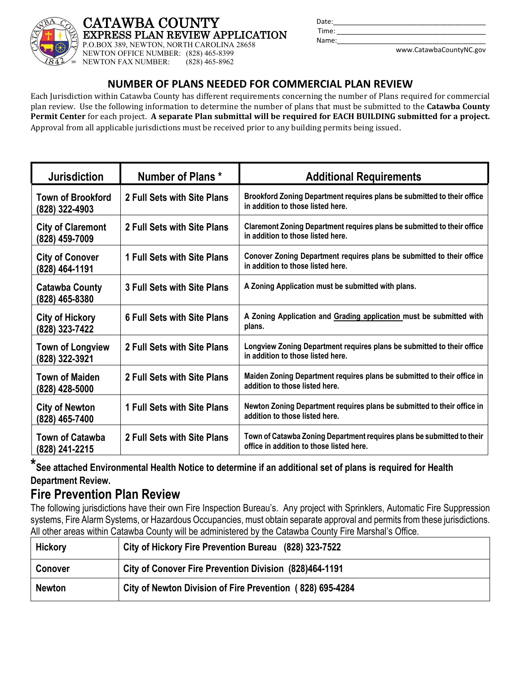

### **CATAWBA COUNTY EXPRESS PLAN REVIEW APPLICATION**

P.O.BOX 389, NEWTON, NORTH CAROLINA 28658 NEWTON OFFICE NUMBER: (828) 465-8399<br>NEWTON FAX NUMBER: (828) 465-8962 NEWTON FAX NUMBER:

| Date: |                         |
|-------|-------------------------|
| Time: |                         |
| Name: |                         |
|       | www.CatawbaCountyNC.gov |

## **NUMBER OF PLANS NEEDED FOR COMMERCIAL PLAN REVIEW**

Each Jurisdiction within Catawba County has different requirements concerning the number of Plans required for commercial plan review. Use the following information to determine the number of plans that must be submitted to the **Catawba County Permit Center** for each project. **A separate Plan submittal will be required for EACH BUILDING submitted for a project.**  Approval from all applicable jurisdictions must be received prior to any building permits being issued.

| <b>Jurisdiction</b>                        | <b>Number of Plans *</b>           | <b>Additional Requirements</b>                                                                                     |
|--------------------------------------------|------------------------------------|--------------------------------------------------------------------------------------------------------------------|
| <b>Town of Brookford</b><br>(828) 322-4903 | 2 Full Sets with Site Plans        | Brookford Zoning Department requires plans be submitted to their office<br>in addition to those listed here.       |
| <b>City of Claremont</b><br>(828) 459-7009 | 2 Full Sets with Site Plans        | Claremont Zoning Department requires plans be submitted to their office<br>in addition to those listed here.       |
| <b>City of Conover</b><br>(828) 464-1191   | 1 Full Sets with Site Plans        | Conover Zoning Department requires plans be submitted to their office<br>in addition to those listed here.         |
| <b>Catawba County</b><br>(828) 465-8380    | 3 Full Sets with Site Plans        | A Zoning Application must be submitted with plans.                                                                 |
| <b>City of Hickory</b><br>(828) 323-7422   | <b>6 Full Sets with Site Plans</b> | A Zoning Application and Grading application must be submitted with<br>plans.                                      |
| <b>Town of Longview</b><br>(828) 322-3921  | 2 Full Sets with Site Plans        | Longview Zoning Department requires plans be submitted to their office<br>in addition to those listed here.        |
| <b>Town of Maiden</b><br>(828) 428-5000    | 2 Full Sets with Site Plans        | Maiden Zoning Department requires plans be submitted to their office in<br>addition to those listed here.          |
| <b>City of Newton</b><br>(828) 465-7400    | 1 Full Sets with Site Plans        | Newton Zoning Department requires plans be submitted to their office in<br>addition to those listed here.          |
| <b>Town of Catawba</b><br>(828) 241-2215   | 2 Full Sets with Site Plans        | Town of Catawba Zoning Department requires plans be submitted to their<br>office in addition to those listed here. |

# **\*See attached Environmental Health Notice to determine if an additional set of plans is required for Health Department Review.**

# **Fire Prevention Plan Review**

The following jurisdictions have their own Fire Inspection Bureau's. Any project with Sprinklers, Automatic Fire Suppression systems, Fire Alarm Systems, or Hazardous Occupancies, must obtain separate approval and permits from these jurisdictions. All other areas within Catawba County will be administered by the Catawba County Fire Marshal's Office.

| <b>Hickory</b> | City of Hickory Fire Prevention Bureau (828) 323-7522     |
|----------------|-----------------------------------------------------------|
| <b>Conover</b> | City of Conover Fire Prevention Division (828)464-1191    |
| <b>Newton</b>  | City of Newton Division of Fire Prevention (828) 695-4284 |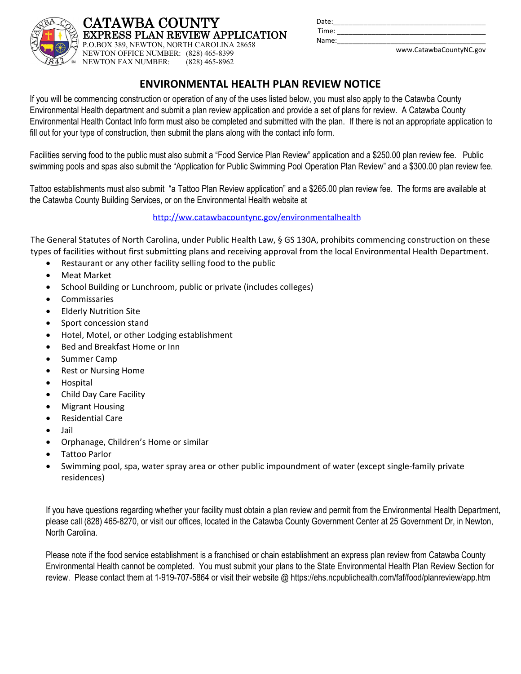| <b>CATAWBA COUNTY</b>                     |
|-------------------------------------------|
| EXPRESS PLAN REVIEW APPLICATION           |
| P.O.BOX 389, NEWTON, NORTH CAROLINA 28658 |

| Date: |  |
|-------|--|
| Time: |  |
| Name: |  |
|       |  |

www.CatawbaCountyNC.gov

# **ENVIRONMENTAL HEALTH PLAN REVIEW NOTICE**

If you will be commencing construction or operation of any of the uses listed below, you must also apply to the Catawba County Environmental Health department and submit a plan review application and provide a set of plans for review. A Catawba County Environmental Health Contact Info form must also be completed and submitted with the plan. If there is not an appropriate application to fill out for your type of construction, then submit the plans along with the contact info form.

Facilities serving food to the public must also submit a "Food Service Plan Review" application and a \$250.00 plan review fee. Public swimming pools and spas also submit the "Application for Public Swimming Pool Operation Plan Review" and a \$300.00 plan review fee.

Tattoo establishments must also submit "a Tattoo Plan Review application" and a \$265.00 plan review fee. The forms are available at the Catawba County Building Services, or on the Environmental Health website at

[http://ww.catawbacountync.gov/environmentalhealth](http://www.catawbacountync.gov/environmentalhealth)

The General Statutes of North Carolina, under Public Health Law, § GS 130A, prohibits commencing construction on these types of facilities without first submitting plans and receiving approval from the local Environmental Health Department.

Restaurant or any other facility selling food to the public

NEWTON OFFICE NUMBER: (828) 465-8399<br>NEWTON FAX NUMBER: (828) 465-8962

NEWTON FAX NUMBER:

- Meat Market
- School Building or Lunchroom, public or private (includes colleges)
- Commissaries
- Elderly Nutrition Site
- Sport concession stand
- Hotel, Motel, or other Lodging establishment
- Bed and Breakfast Home or Inn
- Summer Camp
- Rest or Nursing Home
- Hospital
- Child Day Care Facility
- Migrant Housing
- Residential Care
- Jail
- Orphanage, Children's Home or similar
- Tattoo Parlor
- Swimming pool, spa, water spray area or other public impoundment of water (except single-family private residences)

If you have questions regarding whether your facility must obtain a plan review and permit from the Environmental Health Department, please call (828) 465-8270, or visit our offices, located in the Catawba County Government Center at 25 Government Dr, in Newton, North Carolina.

Please note if the food service establishment is a franchised or chain establishment an express plan review from Catawba County Environmental Health cannot be completed. You must submit your plans to the State Environmental Health Plan Review Section for review. Please contact them at 1-919-707-5864 or visit their website @ https://ehs.ncpublichealth.com/faf/food/planreview/app.htm